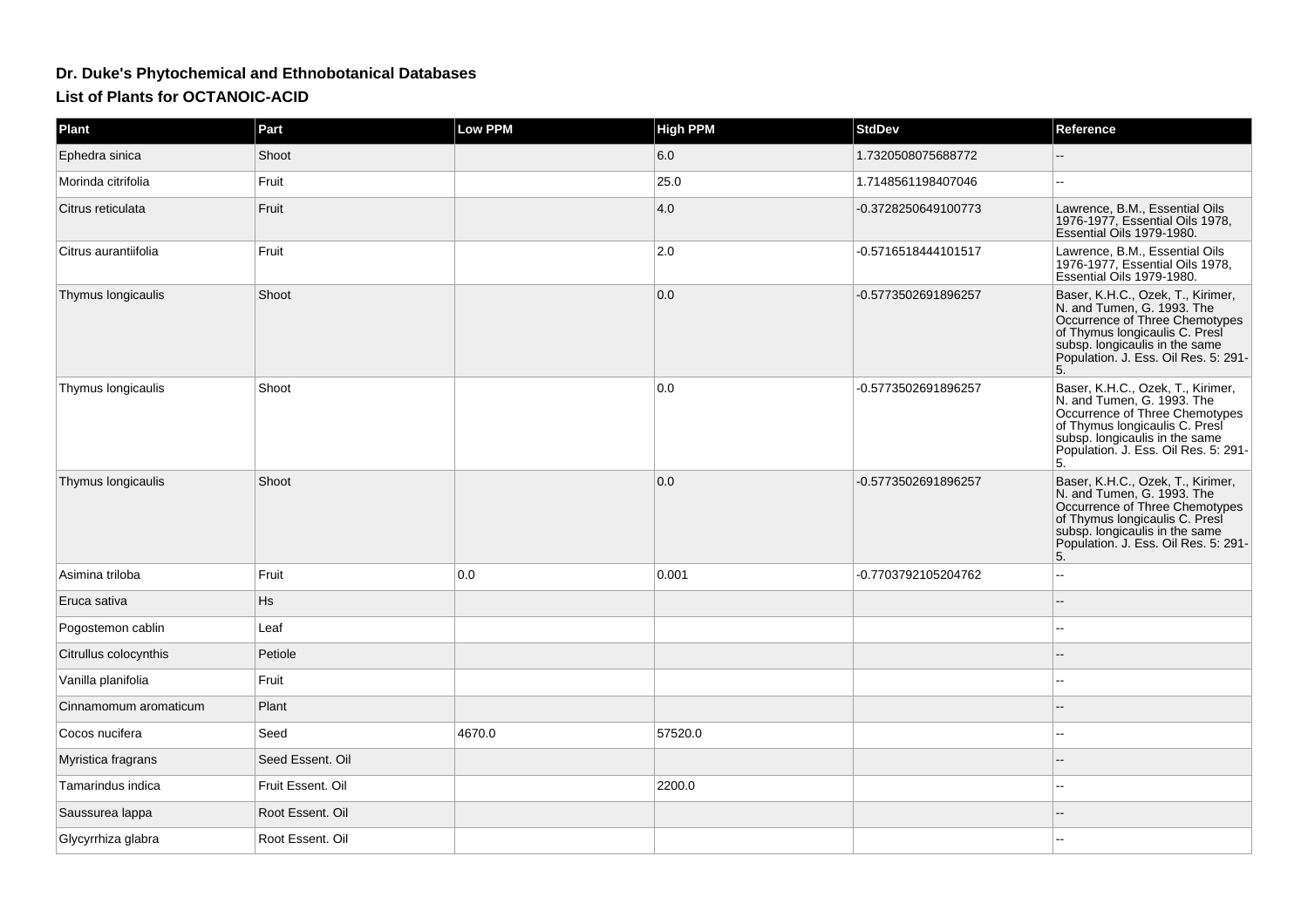## **Dr. Duke's Phytochemical and Ethnobotanical DatabasesList of Plants for OCTANOIC-ACID**

| Plant                 | Part              | <b>Low PPM</b> | <b>High PPM</b> | <b>StdDev</b>       | Reference                                                                                                                                                                                                           |
|-----------------------|-------------------|----------------|-----------------|---------------------|---------------------------------------------------------------------------------------------------------------------------------------------------------------------------------------------------------------------|
| Ephedra sinica        | Shoot             |                | 6.0             | 1.7320508075688772  |                                                                                                                                                                                                                     |
| Morinda citrifolia    | Fruit             |                | 25.0            | 1.7148561198407046  | --                                                                                                                                                                                                                  |
| Citrus reticulata     | Fruit             |                | 4.0             | -0.3728250649100773 | Lawrence, B.M., Essential Oils<br>1976-1977, Essential Oils 1978,<br>Essential Oils 1979-1980.                                                                                                                      |
| Citrus aurantiifolia  | Fruit             |                | 2.0             | -0.5716518444101517 | Lawrence, B.M., Essential Oils<br>1976-1977, Essential Oils 1978,<br>Essential Oils 1979-1980.                                                                                                                      |
| Thymus longicaulis    | Shoot             |                | 0.0             | -0.5773502691896257 | Baser, K.H.C., Ozek, T., Kirimer,<br>N. and Tumen, G. 1993. The<br>Occurrence of Three Chemotypes<br>of Thymus longicaulis C. Presi<br>subsp. longicaulis in the same<br>Population. J. Ess. Oil Res. 5: 291-<br>5. |
| Thymus longicaulis    | Shoot             |                | 0.0             | -0.5773502691896257 | Baser, K.H.C., Ozek, T., Kirimer,<br>N. and Tumen, G. 1993. The<br>Occurrence of Three Chemotypes<br>of Thymus longicaulis C. Presi<br>subsp. longicaulis in the same<br>Population. J. Ess. Oil Res. 5: 291-<br>5. |
| Thymus longicaulis    | Shoot             |                | 0.0             | -0.5773502691896257 | Baser, K.H.C., Ozek, T., Kirimer,<br>N. and Tumen, G. 1993. The<br>Occurrence of Three Chemotypes<br>of Thymus longicaulis C. Presi<br>subsp. longicaulis in the same<br>Population. J. Ess. Oil Res. 5: 291-<br>5. |
| Asimina triloba       | Fruit             | 0.0            | 0.001           | -0.7703792105204762 |                                                                                                                                                                                                                     |
| Eruca sativa          | Hs                |                |                 |                     |                                                                                                                                                                                                                     |
| Pogostemon cablin     | Leaf              |                |                 |                     |                                                                                                                                                                                                                     |
| Citrullus colocynthis | Petiole           |                |                 |                     |                                                                                                                                                                                                                     |
| Vanilla planifolia    | Fruit             |                |                 |                     |                                                                                                                                                                                                                     |
| Cinnamomum aromaticum | Plant             |                |                 |                     |                                                                                                                                                                                                                     |
| Cocos nucifera        | Seed              | 4670.0         | 57520.0         |                     | --                                                                                                                                                                                                                  |
| Myristica fragrans    | Seed Essent. Oil  |                |                 |                     |                                                                                                                                                                                                                     |
| Tamarindus indica     | Fruit Essent. Oil |                | 2200.0          |                     | --                                                                                                                                                                                                                  |
| Saussurea lappa       | Root Essent. Oil  |                |                 |                     |                                                                                                                                                                                                                     |
| Glycyrrhiza glabra    | Root Essent, Oil  |                |                 |                     |                                                                                                                                                                                                                     |